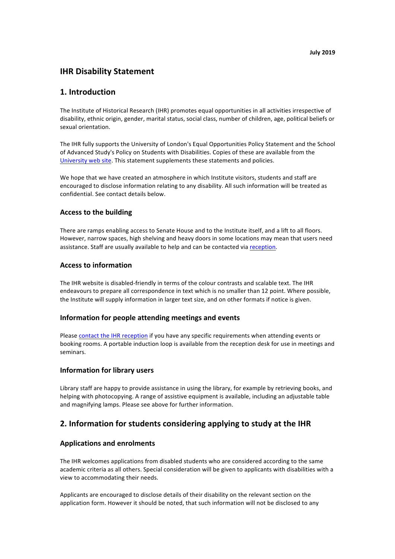# **IHR Disability Statement**

## **1. Introduction**

The Institute of Historical Research (IHR) promotes equal opportunities in all activities irrespective of disability, ethnic origin, gender, marital status, social class, number of children, age, political beliefs or sexual orientation.

The IHR fully supports the University of London's Equal Opportunities Policy Statement and the School of Advanced Study's Policy on Students with Disabilities. Copies of these are available from the University web site. This statement supplements these statements and policies.

We hope that we have created an atmosphere in which Institute visitors, students and staff are encouraged to disclose information relating to any disability. All such information will be treated as confidential. See contact details below.

### **Access to the building**

There are ramps enabling access to Senate House and to the Institute itself, and a lift to all floors. However, narrow spaces, high shelving and heavy doors in some locations may mean that users need assistance. Staff are usually available to help and can be contacted via reception.

### **Access to information**

The IHR website is disabled-friendly in terms of the colour contrasts and scalable text. The IHR endeavours to prepare all correspondence in text which is no smaller than 12 point. Where possible, the Institute will supply information in larger text size, and on other formats if notice is given.

### **Information for people attending meetings and events**

Please contact the IHR reception if you have any specific requirements when attending events or booking rooms. A portable induction loop is available from the reception desk for use in meetings and seminars.

#### **Information for library users**

Library staff are happy to provide assistance in using the library, for example by retrieving books, and helping with photocopying. A range of assistive equipment is available, including an adjustable table and magnifying lamps. Please see above for further information.

# **2.** Information for students considering applying to study at the IHR

### **Applications and enrolments**

The IHR welcomes applications from disabled students who are considered according to the same academic criteria as all others. Special consideration will be given to applicants with disabilities with a view to accommodating their needs.

Applicants are encouraged to disclose details of their disability on the relevant section on the application form. However it should be noted, that such information will not be disclosed to any